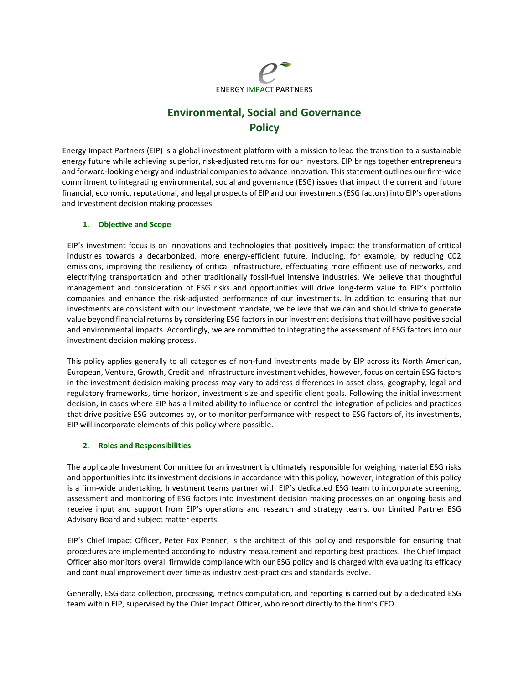

# **Environmental, Social and Governance Policy**

Energy Impact Partners (EIP) is a global investment platform with a mission to lead the transition to a sustainable energy future while achieving superior, risk-adjusted returns for our investors. EIP brings together entrepreneurs and forward-looking energy and industrial companies to advance innovation. Thisstatement outlines our firm-wide commitment to integrating environmental, social and governance (ESG) issues that impact the current and future financial, economic, reputational, and legal prospects of EIP and our investments (ESG factors) into EIP's operations and investment decision making processes.

# **1. Objective and Scope**

EIP's investment focus is on innovations and technologies that positively impact the transformation of critical industries towards a decarbonized, more energy-efficient future, including, for example, by reducing C02 emissions, improving the resiliency of critical infrastructure, effectuating more efficient use of networks, and electrifying transportation and other traditionally fossil-fuel intensive industries. We believe that thoughtful management and consideration of ESG risks and opportunities will drive long-term value to EIP's portfolio companies and enhance the risk-adjusted performance of our investments. In addition to ensuring that our investments are consistent with our investment mandate, we believe that we can and should strive to generate value beyond financial returns by considering ESG factors in our investment decisions that will have positive social and environmental impacts. Accordingly, we are committed to integrating the assessment of ESG factors into our investment decision making process.

This policy applies generally to all categories of non-fund investments made by EIP across its North American, European, Venture, Growth, Credit and Infrastructure investment vehicles, however, focus on certain ESG factors in the investment decision making process may vary to address differences in asset class, geography, legal and regulatory frameworks, time horizon, investment size and specific client goals. Following the initial investment decision, in cases where EIP has a limited ability to influence or control the integration of policies and practices that drive positive ESG outcomes by, or to monitor performance with respect to ESG factors of, its investments, EIP will incorporate elements of this policy where possible.

#### **2. Roles and Responsibilities**

The applicable Investment Committee for an investment is ultimately responsible for weighing material ESG risks and opportunities into its investment decisions in accordance with this policy, however, integration of this policy is a firm-wide undertaking. Investment teams partner with EIP's dedicated ESG team to incorporate screening, assessment and monitoring of ESG factors into investment decision making processes on an ongoing basis and receive input and support from EIP's operations and research and strategy teams, our Limited Partner ESG Advisory Board and subject matter experts.

EIP's Chief Impact Officer, Peter Fox Penner, is the architect of this policy and responsible for ensuring that procedures are implemented according to industry measurement and reporting best practices. The Chief Impact Officer also monitors overall firmwide compliance with our ESG policy and is charged with evaluating its efficacy and continual improvement over time as industry best-practices and standards evolve.

Generally, ESG data collection, processing, metrics computation, and reporting is carried out by a dedicated ESG team within EIP, supervised by the Chief Impact Officer, who report directly to the firm's CEO.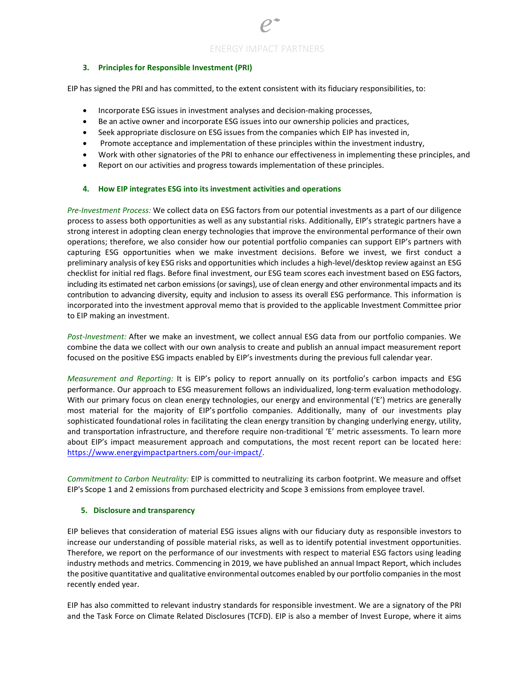## **3. Principles for Responsible Investment (PRI)**

EIP has signed the PRI and has committed, to the extent consistent with its fiduciary responsibilities, to:

- Incorporate ESG issues in investment analyses and decision-making processes,
- Be an active owner and incorporate ESG issues into our ownership policies and practices,
- Seek appropriate disclosure on ESG issues from the companies which EIP has invested in,
- Promote acceptance and implementation of these principles within the investment industry,
- Work with other signatories of the PRI to enhance our effectiveness in implementing these principles, and
- Report on our activities and progress towards implementation of these principles.

## **4. How EIP integrates ESG into its investment activities and operations**

*Pre-Investment Process:* We collect data on ESG factors from our potential investments as a part of our diligence process to assess both opportunities as well as any substantial risks. Additionally, EIP's strategic partners have a strong interest in adopting clean energy technologies that improve the environmental performance of their own operations; therefore, we also consider how our potential portfolio companies can support EIP's partners with capturing ESG opportunities when we make investment decisions. Before we invest, we first conduct a preliminary analysis of key ESG risks and opportunities which includes a high-level/desktop review against an ESG checklist for initial red flags. Before final investment, our ESG team scores each investment based on ESG factors, including its estimated net carbon emissions (or savings), use of clean energy and other environmental impacts and its contribution to advancing diversity, equity and inclusion to assess its overall ESG performance. This information is incorporated into the investment approval memo that is provided to the applicable Investment Committee prior to EIP making an investment.

*Post-Investment:* After we make an investment, we collect annual ESG data from our portfolio companies. We combine the data we collect with our own analysis to create and publish an annual impact measurement report focused on the positive ESG impacts enabled by EIP's investments during the previous full calendar year.

*Measurement and Reporting:* It is EIP's policy to report annually on its portfolio's carbon impacts and ESG performance. Our approach to ESG measurement follows an individualized, long-term evaluation methodology. With our primary focus on clean energy technologies, our energy and environmental ('E') metrics are generally most material for the majority of EIP's portfolio companies. Additionally, many of our investments play sophisticated foundational roles in facilitating the clean energy transition by changing underlying energy, utility, and transportation infrastructure, and therefore require non-traditional 'E' metric assessments. To learn more about EIP's impact measurement approach and computations, the most recent report can be located here: [https://www.energyimpactpartners.com/our-impact/.](https://www.energyimpactpartners.com/our-impact/)

*Commitment to Carbon Neutrality:* EIP is committed to neutralizing its carbon footprint. We measure and offset EIP's Scope 1 and 2 emissions from purchased electricity and Scope 3 emissions from employee travel.

#### **5. Disclosure and transparency**

EIP believes that consideration of material ESG issues aligns with our fiduciary duty as responsible investors to increase our understanding of possible material risks, as well as to identify potential investment opportunities. Therefore, we report on the performance of our investments with respect to material ESG factors using leading industry methods and metrics. Commencing in 2019, we have published an annual Impact Report, which includes the positive quantitative and qualitative environmental outcomes enabled by our portfolio companies in the most recently ended year.

EIP has also committed to relevant industry standards for responsible investment. We are a signatory of the PRI and the Task Force on Climate Related Disclosures (TCFD). EIP is also a member of Invest Europe, where it aims